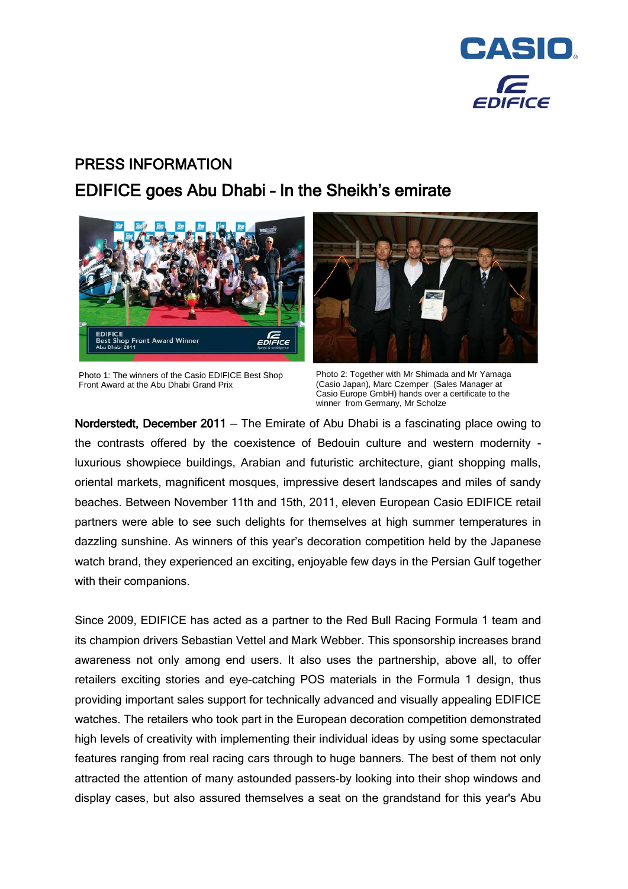

## PRESS INFORMATION EDIFICE goes Abu Dhabi – In the Sheikh's emirate





 Front Award at the Abu Dhabi Grand Prix Photo 1: The winners of the Casio EDIFICE Best Shop

Photo 2: Together with Mr Shimada and Mr Yamaga (Casio Japan), Marc Czemper (Sales Manager at Casio Europe GmbH) hands over a certificate to the winner from Germany, Mr Scholze

Norderstedt, December 2011 — The Emirate of Abu Dhabi is a fascinating place owing to the contrasts offered by the coexistence of Bedouin culture and western modernity luxurious showpiece buildings, Arabian and futuristic architecture, giant shopping malls, oriental markets, magnificent mosques, impressive desert landscapes and miles of sandy beaches. Between November 11th and 15th, 2011, eleven European Casio EDIFICE retail partners were able to see such delights for themselves at high summer temperatures in dazzling sunshine. As winners of this year's decoration competition held by the Japanese watch brand, they experienced an exciting, enjoyable few days in the Persian Gulf together with their companions.

Since 2009, EDIFICE has acted as a partner to the Red Bull Racing Formula 1 team and its champion drivers Sebastian Vettel and Mark Webber. This sponsorship increases brand awareness not only among end users. It also uses the partnership, above all, to offer retailers exciting stories and eye-catching POS materials in the Formula 1 design, thus providing important sales support for technically advanced and visually appealing EDIFICE watches. The retailers who took part in the European decoration competition demonstrated high levels of creativity with implementing their individual ideas by using some spectacular features ranging from real racing cars through to huge banners. The best of them not only attracted the attention of many astounded passers-by looking into their shop windows and display cases, but also assured themselves a seat on the grandstand for this year's Abu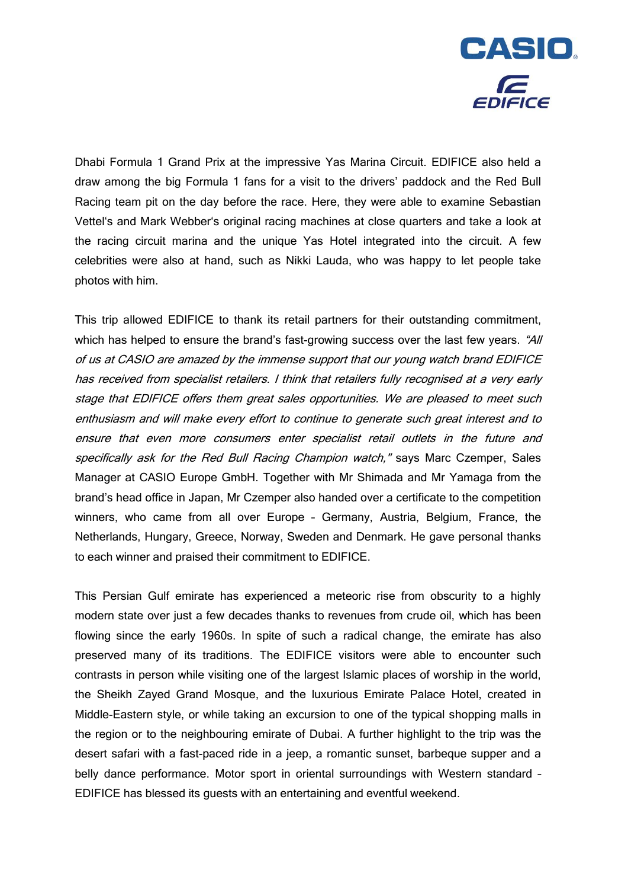

Dhabi Formula 1 Grand Prix at the impressive Yas Marina Circuit. EDIFICE also held a draw among the big Formula 1 fans for a visit to the drivers' paddock and the Red Bull Racing team pit on the day before the race. Here, they were able to examine Sebastian Vettel's and Mark Webber's original racing machines at close quarters and take a look at the racing circuit marina and the unique Yas Hotel integrated into the circuit. A few celebrities were also at hand, such as Nikki Lauda, who was happy to let people take photos with him.

This trip allowed EDIFICE to thank its retail partners for their outstanding commitment, which has helped to ensure the brand's fast-growing success over the last few years. "All of us at CASIO are amazed by the immense support that our young watch brand EDIFICE has received from specialist retailers. I think that retailers fully recognised at a very early stage that EDIFICE offers them great sales opportunities. We are pleased to meet such enthusiasm and will make every effort to continue to generate such great interest and to ensure that even more consumers enter specialist retail outlets in the future and specifically ask for the Red Bull Racing Champion watch," says Marc Czemper, Sales Manager at CASIO Europe GmbH. Together with Mr Shimada and Mr Yamaga from the brand's head office in Japan, Mr Czemper also handed over a certificate to the competition winners, who came from all over Europe – Germany, Austria, Belgium, France, the Netherlands, Hungary, Greece, Norway, Sweden and Denmark. He gave personal thanks to each winner and praised their commitment to EDIFICE.

This Persian Gulf emirate has experienced a meteoric rise from obscurity to a highly modern state over just a few decades thanks to revenues from crude oil, which has been flowing since the early 1960s. In spite of such a radical change, the emirate has also preserved many of its traditions. The EDIFICE visitors were able to encounter such contrasts in person while visiting one of the largest Islamic places of worship in the world, the Sheikh Zayed Grand Mosque, and the luxurious Emirate Palace Hotel, created in Middle-Eastern style, or while taking an excursion to one of the typical shopping malls in the region or to the neighbouring emirate of Dubai. A further highlight to the trip was the desert safari with a fast-paced ride in a jeep, a romantic sunset, barbeque supper and a belly dance performance. Motor sport in oriental surroundings with Western standard – EDIFICE has blessed its guests with an entertaining and eventful weekend.